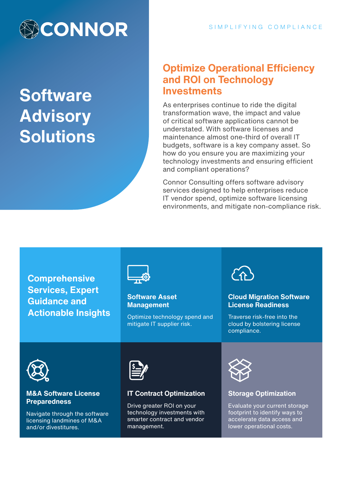

**Software Advisory Solutions**

### **Optimize Operational Efficiency and ROI on Technology Investments**

As enterprises continue to ride the digital transformation wave, the impact and value of critical software applications cannot be understated. With software licenses and maintenance almost one-third of overall IT budgets, software is a key company asset. So how do you ensure you are maximizing your technology investments and ensuring efficient and compliant operations?

Connor Consulting offers software advisory services designed to help enterprises reduce IT vendor spend, optimize software licensing environments, and mitigate non-compliance risk.

**Comprehensive Services, Expert Guidance and Actionable Insights**



#### **Software Asset Management**

Optimize technology spend and mitigate IT supplier risk.



### **Cloud Migration Software License Readiness**

Traverse risk-free into the cloud by bolstering license compliance.



#### **M&A Software License Preparedness**

Navigate through the software licensing landmines of M&A and/or divestitures.



### **IT Contract Optimization**

Drive greater ROI on your technology investments with smarter contract and vendor management.



### **Storage Optimization**

Evaluate your current storage footprint to identify ways to accelerate data access and lower operational costs.